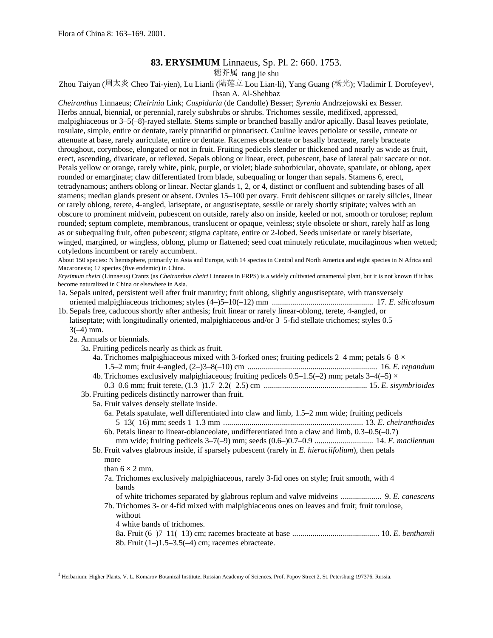# **83. ERYSIMUM** Linnaeus, Sp. Pl. 2: 660. 1753.

糖芥属 tang jie shu

Zhou Taiyan (周太炎 Cheo Tai-yien), Lu Lianli (陆莲立 Lou Lian-li), Yang Guang (杨光); Vladimir I. Dorofeye[v1,](#page-0-0)

Ihsan A. Al-Shehbaz

*Cheiranthus* Linnaeus; *Cheirinia* Link; *Cuspidaria* (de Candolle) Besser; *Syrenia* Andrzejowski ex Besser. Herbs annual, biennial, or perennial, rarely subshrubs or shrubs. Trichomes sessile, medifixed, appressed, malpighiaceous or 3–5(–8)-rayed stellate. Stems simple or branched basally and/or apically. Basal leaves petiolate, rosulate, simple, entire or dentate, rarely pinnatifid or pinnatisect. Cauline leaves petiolate or sessile, cuneate or attenuate at base, rarely auriculate, entire or dentate. Racemes ebracteate or basally bracteate, rarely bracteate throughout, corymbose, elongated or not in fruit. Fruiting pedicels slender or thickened and nearly as wide as fruit, erect, ascending, divaricate, or reflexed. Sepals oblong or linear, erect, pubescent, base of lateral pair saccate or not. Petals yellow or orange, rarely white, pink, purple, or violet; blade suborbicular, obovate, spatulate, or oblong, apex rounded or emarginate; claw differentiated from blade, subequaling or longer than sepals. Stamens 6, erect, tetradynamous; anthers oblong or linear. Nectar glands 1, 2, or 4, distinct or confluent and subtending bases of all stamens; median glands present or absent. Ovules 15–100 per ovary. Fruit dehiscent siliques or rarely silicles, linear or rarely oblong, terete, 4-angled, latiseptate, or angustiseptate, sessile or rarely shortly stipitate; valves with an obscure to prominent midvein, pubescent on outside, rarely also on inside, keeled or not, smooth or torulose; replum rounded; septum complete, membranous, translucent or opaque, veinless; style obsolete or short, rarely half as long as or subequaling fruit, often pubescent; stigma capitate, entire or 2-lobed. Seeds uniseriate or rarely biseriate, winged, margined, or wingless, oblong, plump or flattened; seed coat minutely reticulate, mucilaginous when wetted; cotyledons incumbent or rarely accumbent.

About 150 species: N hemisphere, primarily in Asia and Europe, with 14 species in Central and North America and eight species in N Africa and Macaronesia; 17 species (five endemic) in China.

*Erysimum cheiri* (Linnaeus) Crantz (as *Cheiranthus cheiri* Linnaeus in FRPS) is a widely cultivated ornamental plant, but it is not known if it has become naturalized in China or elsewhere in Asia.

- 1a. Sepals united, persistent well after fruit maturity; fruit oblong, slightly angustiseptate, with transversely oriented malpighiaceous trichomes; styles (4–)5–10(–12) mm .................................................. 17. *E. siliculosum*
- 1b. Sepals free, caducous shortly after anthesis; fruit linear or rarely linear-oblong, terete, 4-angled, or latiseptate; with longitudinally oriented, malpighiaceous and/or 3–5-fid stellate trichomes; styles 0.5–

 $3(-4)$  mm.

 $\overline{\phantom{a}}$ 

2a. Annuals or biennials.

3a. Fruiting pedicels nearly as thick as fruit.

- 4a. Trichomes malpighiaceous mixed with 3-forked ones; fruiting pedicels 2–4 mm; petals 6–8  $\times$ 1.5–2 mm; fruit 4-angled, (2–)3–8(–10) cm ................................................................ 16. *E. repandum*
- 4b. Trichomes exclusively malpighiaceous; fruiting pedicels  $0.5-1.5(-2)$  mm; petals  $3-4(-5) \times$ 0.3–0.6 mm; fruit terete, (1.3–)1.7–2.2(–2.5) cm ................................................... 15. *E. sisymbrioides*

3b. Fruiting pedicels distinctly narrower than fruit.

- 5a. Fruit valves densely stellate inside.
	- 6a. Petals spatulate, well differentiated into claw and limb, 1.5–2 mm wide; fruiting pedicels 5–13(–16) mm; seeds 1–1.3 mm ..................................................................... 13. *E. cheiranthoides*
	- 6b. Petals linear to linear-oblanceolate, undifferentiated into a claw and limb, 0.3–0.5(–0.7) mm wide; fruiting pedicels 3–7(–9) mm; seeds (0.6–)0.7–0.9 ............................. 14. *E. macilentum*
- 5b. Fruit valves glabrous inside, if sparsely pubescent (rarely in *E. hieraciifolium*), then petals more

than  $6 \times 2$  mm.

7a. Trichomes exclusively malpighiaceous, rarely 3-fid ones on style; fruit smooth, with 4 bands

of white trichomes separated by glabrous replum and valve midveins .................... 9. *E. canescens* 7b. Trichomes 3- or 4-fid mixed with malpighiaceous ones on leaves and fruit; fruit torulose,

- without
- 4 white bands of trichomes.
- 8a. Fruit (6–)7–11(–13) cm; racemes bracteate at base ........................................... 10. *E. benthamii* 8b. Fruit (1–)1.5–3.5(–4) cm; racemes ebracteate.

<span id="page-0-0"></span><sup>&</sup>lt;sup>1</sup> Herbarium: Higher Plants, V. L. Komarov Botanical Institute, Russian Academy of Sciences, Prof. Popov Street 2, St. Petersburg 197376, Russia.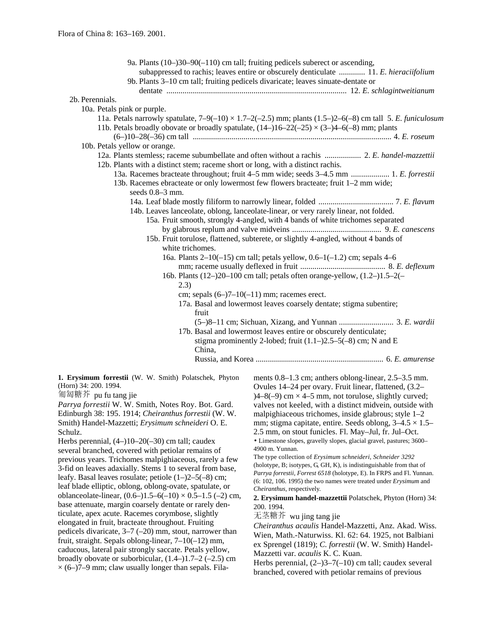| 9a. Plants $(10-)30-90(-110)$ cm tall; fruiting pedicels suberect or ascending,                                    |
|--------------------------------------------------------------------------------------------------------------------|
| subappressed to rachis; leaves entire or obscurely denticulate  11. E. hieraciifolium                              |
| 9b. Plants 3–10 cm tall; fruiting pedicels divaricate; leaves sinuate-dentate or                                   |
|                                                                                                                    |
| 2b. Perennials.                                                                                                    |
| 10a. Petals pink or purple.                                                                                        |
| 11a. Petals narrowly spatulate, $7-9(-10) \times 1.7-2(-2.5)$ mm; plants $(1.5-2)-6(-8)$ cm tall 5. E. funiculosum |
| 11b. Petals broadly obovate or broadly spatulate, $(14-16-22(-25) \times (3-4-6(-8))$ mm; plants                   |
|                                                                                                                    |
| 10b. Petals yellow or orange.                                                                                      |
| 12b. Plants with a distinct stem; raceme short or long, with a distinct rachis.                                    |
| 13a. Racemes bracteate throughout; fruit 4–5 mm wide; seeds 3–4.5 mm  1. E. forrestii                              |
| 13b. Racemes ebracteate or only lowermost few flowers bracteate; fruit 1-2 mm wide;                                |
| seeds 0.8-3 mm.                                                                                                    |
|                                                                                                                    |
| 14b. Leaves lanceolate, oblong, lanceolate-linear, or very rarely linear, not folded.                              |
| 15a. Fruit smooth, strongly 4-angled, with 4 bands of white trichomes separated                                    |
|                                                                                                                    |
| 15b. Fruit torulose, flattened, subterete, or slightly 4-angled, without 4 bands of                                |
| white trichomes.                                                                                                   |
| 16a. Plants $2-10(-15)$ cm tall; petals yellow, $0.6-1(-1.2)$ cm; sepals 4-6                                       |
|                                                                                                                    |
| 16b. Plants $(12-)20-100$ cm tall; petals often orange-yellow, $(1.2-)1.5-2(-$                                     |
| (2.3)                                                                                                              |
| cm; sepals $(6-7-10(-11)$ mm; racemes erect.                                                                       |
| 17a. Basal and lowermost leaves coarsely dentate; stigma subentire;                                                |
| fruit                                                                                                              |
| (5-)8-11 cm; Sichuan, Xizang, and Yunnan  3. E. wardii                                                             |
| 17b. Basal and lowermost leaves entire or obscurely denticulate;                                                   |
| stigma prominently 2-lobed; fruit $(1.1-)2.5-5(-8)$ cm; N and E                                                    |
| China,                                                                                                             |
|                                                                                                                    |

**1. Erysimum forrestii** (W. W. Smith) Polatschek, Phyton (Horn) 34: 200. 1994.

匍匐糖芥 pu fu tang jie

*Parrya forrestii* W. W. Smith, Notes Roy. Bot. Gard. Edinburgh 38: 195. 1914; *Cheiranthus forrestii* (W. W. Smith) Handel-Mazzetti; *Erysimum schneideri* O. E. Schulz.

Herbs perennial, (4–)10–20(–30) cm tall; caudex several branched, covered with petiolar remains of previous years. Trichomes malpighiaceous, rarely a few 3-fid on leaves adaxially. Stems 1 to several from base, leafy. Basal leaves rosulate; petiole (1–)2–5(–8) cm; leaf blade elliptic, oblong, oblong-ovate, spatulate, or oblanceolate-linear,  $(0.6-)1.5-6(-10) \times 0.5-1.5$  (-2) cm, base attenuate, margin coarsely dentate or rarely denticulate, apex acute. Racemes corymbose, slightly elongated in fruit, bracteate throughout. Fruiting pedicels divaricate, 3–7 (–20) mm, stout, narrower than fruit, straight. Sepals oblong-linear, 7–10(–12) mm, caducous, lateral pair strongly saccate. Petals yellow, broadly obovate or suborbicular,  $(1.4-)1.7-2$   $(-2.5)$  cm  $\times$  (6–)7–9 mm; claw usually longer than sepals. Filaments 0.8–1.3 cm; anthers oblong-linear, 2.5–3.5 mm. Ovules 14–24 per ovary. Fruit linear, flattened, (3.2–  $(4-8(-9)$  cm  $\times$  4–5 mm, not torulose, slightly curved; valves not keeled, with a distinct midvein, outside with malpighiaceous trichomes, inside glabrous; style 1–2 mm; stigma capitate, entire. Seeds oblong,  $3-4.5 \times 1.5-$ 2.5 mm, on stout funicles. Fl. May–Jul, fr. Jul–Oct. • Limestone slopes, gravelly slopes, glacial gravel, pastures; 3600– 4900 m. Yunnan.

The type collection of *Erysimum schneideri, Schneider 3292* (holotype, B; isotypes, G, GH, K), is indistinguishable from that of *Parrya forrestii, Forrest 6518* (holotype, E). In FRPS and Fl. Yunnan. (6: 102, 106. 1995) the two names were treated under *Erysimum* and *Cheiranthus,* respectively.

**2. Erysimum handel-mazzettii** Polatschek, Phyton (Horn) 34: 200. 1994.

无茎糖芥 wu jing tang jie

*Cheiranthus acaulis* Handel-Mazzetti, Anz. Akad. Wiss. Wien, Math.-Naturwiss. Kl. 62: 64. 1925, not Balbiani ex Sprengel (1819); *C. forrestii* (W. W. Smith) Handel-Mazzetti var. *acaulis* K. C. Kuan.

Herbs perennial,  $(2-)3-7(-10)$  cm tall; caudex several branched, covered with petiolar remains of previous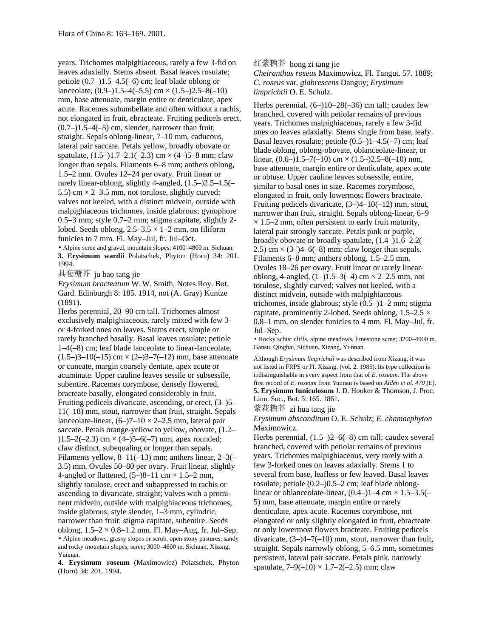years. Trichomes malpighiaceous, rarely a few 3-fid on leaves adaxially. Stems absent. Basal leaves rosulate; petiole (0.7–)1.5–4.5(–6) cm; leaf blade oblong or lanceolate,  $(0.9-)1.5-4(-5.5)$  cm  $\times$   $(1.5-)2.5-8(-10)$ mm, base attenuate, margin entire or denticulate, apex acute. Racemes subumbellate and often without a rachis, not elongated in fruit, ebracteate. Fruiting pedicels erect,  $(0.7-)1.5-4(-5)$  cm, slender, narrower than fruit, straight. Sepals oblong-linear, 7–10 mm, caducous, lateral pair saccate. Petals yellow, broadly obovate or spatulate,  $(1.5-)1.7-2.1(-2.3)$  cm  $\times$  (4-)5-8 mm; claw longer than sepals. Filaments 6–8 mm; anthers oblong, 1.5–2 mm. Ovules 12–24 per ovary. Fruit linear or rarely linear-oblong, slightly 4-angled, (1.5–)2.5–4.5(– 5.5) cm  $\times$  2–3.5 mm, not torulose, slightly curved; valves not keeled, with a distinct midvein, outside with malpighiaceous trichomes, inside glabrous; gynophore 0.5–3 mm; style 0.7–2 mm; stigma capitate, slightly 2 lobed. Seeds oblong,  $2.5-3.5 \times 1-2$  mm, on filiform funicles to 7 mm. Fl. May–Jul, fr. Jul–Oct.

• Alpine scree and gravel, mountain slopes; 4100–4800 m. Sichuan. **3. Erysimum wardii** Polatschek, Phyton (Horn) 34: 201. 1994.

具苞糖芥 ju bao tang jie

*Erysimum bracteatum* W.W. Smith, Notes Roy. Bot. Gard. Edinburgh 8: 185. 1914, not (A. Gray) Kuntze (1891).

Herbs perennial, 20–90 cm tall. Trichomes almost exclusively malpighiaceous, rarely mixed with few 3 or 4-forked ones on leaves. Stems erect, simple or rarely branched basally. Basal leaves rosulate; petiole 1–4(–8) cm; leaf blade lanceolate to linear-lanceolate,  $(1.5-3-10(-15)$  cm  $\times$   $(2-3-7(-12)$  mm, base attenuate or cuneate, margin coarsely dentate, apex acute or acuminate. Upper cauline leaves sessile or subsessile, subentire. Racemes corymbose, densely flowered, bracteate basally, elongated considerably in fruit. Fruiting pedicels divaricate, ascending, or erect, (3–)5– 11(–18) mm, stout, narrower than fruit, straight. Sepals lanceolate-linear,  $(6–)7–10 \times 2–2.5$  mm, lateral pair saccate. Petals orange-yellow to yellow, obovate, (1.2–  $(1.5-2(-2.3)$  cm  $\times$  (4-)5-6(-7) mm, apex rounded; claw distinct, subequaling or longer than sepals. Filaments yellow,  $8-11(-13)$  mm; anthers linear,  $2-3(-$ 3.5) mm. Ovules 50–80 per ovary. Fruit linear, slightly 4-angled or flattened,  $(5-)8-11$  cm  $\times$  1.5–2 mm, slightly torulose, erect and subappressed to rachis or ascending to divaricate, straight; valves with a prominent midvein, outside with malpighiaceous trichomes, inside glabrous; style slender, 1–3 mm, cylindric, narrower than fruit; stigma capitate, subentire. Seeds oblong,  $1.5-2 \times 0.8-1.2$  mm. Fl. May-Aug, fr. Jul–Sep. • Alpine meadows, grassy slopes or scrub, open stony pastures, sandy and rocky mountain slopes, scree; 3000–4600 m. Sichuan, Xizang, Yunnan.

**4. Erysimum roseum** (Maximowicz) Polatschek, Phyton (Horn) 34: 201. 1994.

红紫糖芥 hong zi tang jie

*Cheiranthus roseus* Maximowicz, Fl. Tangut. 57. 1889; *C. roseus* var. *glabrescens* Danguy; *Erysimum limprichtii* O. E. Schulz.

Herbs perennial, (6–)10–28(–36) cm tall; caudex few branched, covered with petiolar remains of previous years. Trichomes malpighiaceous, rarely a few 3-fid ones on leaves adaxially. Stems single from base, leafy. Basal leaves rosulate; petiole (0.5–)1–4.5(–7) cm; leaf blade oblong, oblong-obovate, oblanceolate-linear, or linear,  $(0.6-)1.5-7(-10)$  cm  $\times$   $(1.5-)2.5-8(-10)$  mm, base attenuate, margin entire or denticulate, apex acute or obtuse. Upper cauline leaves subsessile, entire, similar to basal ones in size. Racemes corymbose, elongated in fruit, only lowermost flowers bracteate. Fruiting pedicels divaricate, (3–)4–10(–12) mm, stout, narrower than fruit, straight. Sepals oblong-linear, 6–9  $\times$  1.5–2 mm, often persistent to early fruit maturity, lateral pair strongly saccate. Petals pink or purple, broadly obovate or broadly spatulate, (1.4–)1.6–2.2(– 2.5) cm  $\times$  (3–)4–6(–8) mm; claw longer than sepals. Filaments 6–8 mm; anthers oblong, 1.5–2.5 mm. Ovules 18–26 per ovary. Fruit linear or rarely linearoblong, 4-angled,  $(1-)1.5-3(-4)$  cm  $\times$  2-2.5 mm, not torulose, slightly curved; valves not keeled, with a distinct midvein, outside with malpighiaceous trichomes, inside glabrous; style (0.5–)1–2 mm; stigma capitate, prominently 2-lobed. Seeds oblong,  $1.5-2.5 \times$ 0.8–1 mm, on slender funicles to 4 mm. Fl. May–Jul, fr. Jul–Sep.

• Rocky schist cliffs, alpine meadows, limestone scree; 3200–4900 m. Gansu, Qinghai, Sichuan, Xizang, Yunnan.

Although *Erysimum limprichtii* was described from Xizang, it was not listed in FRPS or Fl. Xizang. (vol. 2. 1985). Its type collection is indistinguishable in every aspect from that of *E. roseum*. The above first record of *E. roseum* from Yunnan is based on *Aldén et al. 470* (E). **5. Erysimum funiculosum** J. D. Hooker & Thomson, J. Proc. Linn. Soc., Bot. 5: 165. 1861.

紫花糖芥 zi hua tang jie

*Erysimum absconditum* O. E. Schulz; *E. chamaephyton* Maximowicz.

Herbs perennial, (1.5–)2–6(–8) cm tall; caudex several branched, covered with petiolar remains of previous years. Trichomes malpighiaceous, very rarely with a few 3-forked ones on leaves adaxially. Stems 1 to several from base, leafless or few leaved. Basal leaves rosulate; petiole (0.2–)0.5–2 cm; leaf blade oblonglinear or oblanceolate-linear,  $(0.4-)1-4$  cm  $\times$  1.5–3.5(– 5) mm, base attenuate, margin entire or rarely denticulate, apex acute. Racemes corymbose, not elongated or only slightly elongated in fruit, ebracteate or only lowermost flowers bracteate. Fruiting pedicels divaricate,  $(3-4-7(-10)$  mm, stout, narrower than fruit, straight. Sepals narrowly oblong, 5–6.5 mm, sometimes persistent, lateral pair saccate. Petals pink, narrowly spatulate,  $7-9(-10) \times 1.7-2(-2.5)$  mm; claw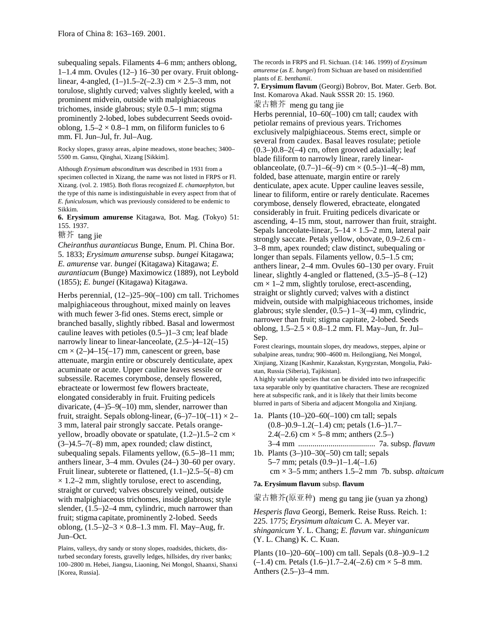subequaling sepals. Filaments 4–6 mm; anthers oblong, 1–1.4 mm. Ovules (12–) 16–30 per ovary. Fruit oblonglinear, 4-angled,  $(1–)1.5–2(-2.3)$  cm  $\times$  2.5–3 mm, not torulose, slightly curved; valves slightly keeled, with a prominent midvein, outside with malpighiaceous trichomes, inside glabrous; style 0.5–1 mm; stigma prominently 2-lobed, lobes subdecurrent Seeds ovoidoblong,  $1.5-2 \times 0.8-1$  mm, on filiform funicles to 6 mm. Fl. Jun–Jul, fr. Jul–Aug.

Rocky slopes, grassy areas, alpine meadows, stone beaches; 3400– 5500 m. Gansu, Qinghai, Xizang [Sikkim].

Although *Erysimum absconditum* was described in 1931 from a specimen collected in Xizang, the name was not listed in FRPS or Fl. Xizang. (vol. 2. 1985). Both floras recognized *E. chamaephyton,* but the type of this name is indistinguishable in every aspect from that of *E. funiculosum,* which was previously considered to be endemic to Sikkim.

**6. Erysimum amurense** Kitagawa, Bot. Mag. (Tokyo) 51: 155. 1937.

糖芥 tang jie

*Cheiranthus aurantiacus* Bunge, Enum. Pl. China Bor. 5. 1833; *Erysimum amurense* subsp. *bungei* Kitagawa; *E. amurense* var. *bungei* (Kitagawa) Kitagawa; *E. aurantiacum* (Bunge) Maximowicz (1889), not Leybold (1855); *E. bungei* (Kitagawa) Kitagawa.

Herbs perennial, (12–)25–90(–100) cm tall. Trichomes malpighiaceous throughout, mixed mainly on leaves with much fewer 3-fid ones. Stems erect, simple or branched basally, slightly ribbed. Basal and lowermost cauline leaves with petioles (0.5–)1–3 cm; leaf blade narrowly linear to linear-lanceolate, (2.5–)4–12(–15)  $cm \times (2-4-15(-17)$  mm, can escent or green, base attenuate, margin entire or obscurely denticulate, apex acuminate or acute. Upper cauline leaves sessile or subsessile. Racemes corymbose, densely flowered, ebracteate or lowermost few flowers bracteate, elongated considerably in fruit. Fruiting pedicels divaricate, (4–)5–9(–10) mm, slender, narrower than fruit, straight. Sepals oblong-linear,  $(6-7-10(-11) \times 2-$ 3 mm, lateral pair strongly saccate. Petals orangeyellow, broadly obovate or spatulate,  $(1.2-)1.5-2$  cm  $\times$ (3–)4.5–7(–8) mm, apex rounded; claw distinct, subequaling sepals. Filaments yellow, (6.5–)8–11 mm; anthers linear, 3–4 mm. Ovules (24–) 30–60 per ovary. Fruit linear, subterete or flattened, (1.1–)2.5–5(–8) cm  $\times$  1.2–2 mm, slightly torulose, erect to ascending. straight or curved; valves obscurely veined, outside with malpighiaceous trichomes, inside glabrous; style slender, (1.5–)2–4 mm, cylindric, much narrower than fruit; stigma capitate, prominently 2-lobed. Seeds oblong,  $(1.5-2-3 \times 0.8-1.3 \text{ mm})$ . Fl. May–Aug, fr. Jun–Oct.

Plains, valleys, dry sandy or stony slopes, roadsides, thickets, disturbed secondary forests, gravelly ledges, hillsides, dry river banks; 100–2800 m. Hebei, Jiangsu, Liaoning, Nei Mongol, Shaanxi, Shanxi [Korea, Russia].

The records in FRPS and Fl. Sichuan. (14: 146. 1999) of *Erysimum amurense* (as *E. bungei*) from Sichuan are based on misidentified plants of *E. benthamii*.

**7. Erysimum flavum** (Georgi) Bobrov, Bot. Mater. Gerb. Bot. Inst. Komarova Akad. Nauk SSSR 20: 15. 1960. 蒙古糖芥 meng gu tang jie

Herbs perennial, 10–60(–100) cm tall; caudex with petiolar remains of previous years. Trichomes exclusively malpighiaceous. Stems erect, simple or several from caudex. Basal leaves rosulate; petiole  $(0.3-)0.8-2(-4)$  cm, often grooved adaxially; leaf blade filiform to narrowly linear, rarely linearoblanceolate,  $(0.7-11-6(-9)$  cm  $\times$   $(0.5-11-4(-8)$  mm, folded, base attenuate, margin entire or rarely denticulate, apex acute. Upper cauline leaves sessile, linear to filiform, entire or rarely denticulate. Racemes corymbose, densely flowered, ebracteate, elongated considerably in fruit. Fruiting pedicels divaricate or ascending, 4–15 mm, stout, narrower than fruit, straight. Sepals lanceolate-linear,  $5-14 \times 1.5-2$  mm, lateral pair strongly saccate. Petals yellow, obovate, 0.9–2.6 cm × 3–8 mm, apex rounded; claw distinct, subequaling or longer than sepals. Filaments yellow, 0.5–1.5 cm; anthers linear, 2–4 mm. Ovules 60–130 per ovary. Fruit linear, slightly 4-angled or flattened, (3.5–)5–8 (–12)  $cm \times 1-2$  mm, slightly torulose, erect-ascending, straight or slightly curved; valves with a distinct midvein, outside with malpighiaceous trichomes, inside glabrous; style slender,  $(0.5-)$  1–3(-4) mm, cylindric, narrower than fruit; stigma capitate, 2-lobed. Seeds oblong, 1.5–2.5 × 0.8–1.2 mm. Fl. May–Jun, fr. Jul– Sep.

Forest clearings, mountain slopes, dry meadows, steppes, alpine or subalpine areas, tundra; 900–4600 m. Heilongjiang, Nei Mongol, Xinjiang, Xizang [Kashmir, Kazakstan, Kyrgyzstan, Mongolia, Pakistan, Russia (Siberia), Tajikistan].

A highly variable species that can be divided into two infraspecific taxa separable only by quantitative characters. These are recognized here at subspecific rank, and it is likely that their limits become blurred in parts of Siberia and adjacent Mongolia and Xinjiang.

- 1a. Plants (10–)20–60(–100) cm tall; sepals  $(0.8-)0.9-1.2(-1.4)$  cm; petals  $(1.6-)1.7-$ 2.4(-2.6) cm  $\times$  5–8 mm; anthers (2.5–) 3–4 mm ...................................... 7a. subsp. *flavum*
- 1b. Plants (3–)10–30(–50) cm tall; sepals 5–7 mm; petals (0.9–)1–1.4(–1.6) cm × 3–5 mm; anthers 1.5–2 mm 7b. subsp. *altaicum*

### **7a. Erysimum flavum** subsp. **flavum**

蒙古糖芥(原亚种) meng gu tang jie (yuan ya zhong)

*Hesperis flava* Georgi, Bemerk. Reise Russ. Reich. 1: 225. 1775; *Erysimum altaicum* C. A. Meyer var. *shinganicum* Y. L. Chang; *E. flavum* var. *shinganicum* (Y. L. Chang) K. C. Kuan.

Plants (10–)20–60(–100) cm tall. Sepals (0.8–)0.9–1.2  $(-1.4)$  cm. Petals  $(1.6-)1.7-2.4(-2.6)$  cm  $\times$  5-8 mm. Anthers (2.5–)3–4 mm.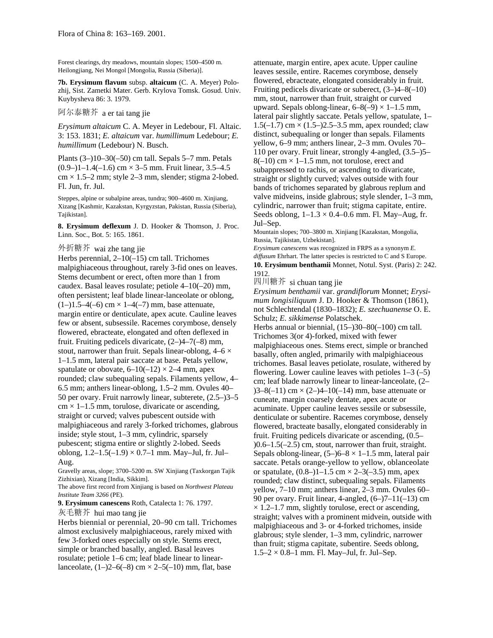Forest clearings, dry meadows, mountain slopes; 1500–4500 m. Heilongjiang, Nei Mongol [Mongolia, Russia (Siberia)].

**7b. Erysimum flavum** subsp. **altaicum** (C. A. Meyer) Polozhij, Sist. Zametki Mater. Gerb. Krylova Tomsk. Gosud. Univ. Kuybysheva 86: 3. 1979.

# 阿尔泰糖芥 a er tai tang jie

*Erysimum altaicum* C. A. Meyer in Ledebour, Fl. Altaic. 3: 153. 1831; *E. altaicum* var. *humillimum* Ledebour; *E. humillimum* (Ledebour) N. Busch.

Plants (3–)10–30(–50) cm tall. Sepals 5–7 mm. Petals  $(0.9-11-1.4(-1.6)$  cm  $\times$  3–5 mm. Fruit linear, 3.5–4.5  $cm \times 1.5-2$  mm; style 2-3 mm, slender; stigma 2-lobed. Fl. Jun, fr. Jul.

Steppes, alpine or subalpine areas, tundra; 900–4600 m. Xinjiang, Xizang [Kashmir, Kazakstan, Kyrgyzstan, Pakistan, Russia (Siberia), Tajikistan].

**8. Erysimum deflexum** J. D. Hooker & Thomson, J. Proc. Linn. Soc., Bot. 5: 165. 1861.

#### 外折糖芥 wai zhe tang jie

Herbs perennial, 2–10(–15) cm tall. Trichomes malpighiaceous throughout, rarely 3-fid ones on leaves. Stems decumbent or erect, often more than 1 from caudex. Basal leaves rosulate; petiole 4–10(–20) mm, often persistent; leaf blade linear-lanceolate or oblong,  $(1-)1.5-4(-6)$  cm  $\times$  1-4(-7) mm, base attenuate, margin entire or denticulate, apex acute. Cauline leaves few or absent, subsessile. Racemes corymbose, densely flowered, ebracteate, elongated and often deflexed in fruit. Fruiting pedicels divaricate, (2–)4–7(–8) mm, stout, narrower than fruit. Sepals linear-oblong,  $4-6 \times$ 1–1.5 mm, lateral pair saccate at base. Petals yellow, spatulate or obovate,  $6-10(-12) \times 2-4$  mm, apex rounded; claw subequaling sepals. Filaments yellow, 4– 6.5 mm; anthers linear-oblong, 1.5–2 mm. Ovules 40– 50 per ovary. Fruit narrowly linear, subterete, (2.5–)3–5  $cm \times 1 - 1.5$  mm, torulose, divaricate or ascending, straight or curved; valves pubescent outside with malpighiaceous and rarely 3-forked trichomes, glabrous inside; style stout, 1–3 mm, cylindric, sparsely pubescent; stigma entire or slightly 2-lobed. Seeds oblong,  $1.2-1.5(-1.9) \times 0.7-1$  mm. May-Jul, fr. Jul-Aug.

Gravelly areas, slope; 3700–5200 m. SW Xinjiang (Taxkorgan Tajik Zizhixian), Xizang [India, Sikkim].

The above first record from Xinjiang is based on *Northwest Plateau Institute Team 3266* (PE).

**9. Erysimum canescens** Roth, Catalecta 1: 76. 1797.

灰毛糖芥 hui mao tang jie

Herbs biennial or perennial, 20–90 cm tall. Trichomes almost exclusively malpighiaceous, rarely mixed with few 3-forked ones especially on style. Stems erect, simple or branched basally, angled. Basal leaves rosulate; petiole 1–6 cm; leaf blade linear to linearlanceolate,  $(1-2-6(-8)$  cm  $\times 2-5(-10)$  mm, flat, base

attenuate, margin entire, apex acute. Upper cauline leaves sessile, entire. Racemes corymbose, densely flowered, ebracteate, elongated considerably in fruit. Fruiting pedicels divaricate or suberect, (3–)4–8(–10) mm, stout, narrower than fruit, straight or curved upward. Sepals oblong-linear,  $6-8(-9) \times 1-1.5$  mm, lateral pair slightly saccate. Petals yellow, spatulate, 1–  $1.5(-1.7)$  cm  $\times$  (1.5–)2.5–3.5 mm, apex rounded; claw distinct, subequaling or longer than sepals. Filaments yellow, 6–9 mm; anthers linear, 2–3 mm. Ovules 70– 110 per ovary. Fruit linear, strongly 4-angled, (3.5–)5–  $8(-10)$  cm  $\times$  1–1.5 mm, not torulose, erect and subappressed to rachis, or ascending to divaricate, straight or slightly curved; valves outside with four bands of trichomes separated by glabrous replum and valve midveins, inside glabrous; style slender, 1–3 mm, cylindric, narrower than fruit; stigma capitate, entire. Seeds oblong,  $1-1.3 \times 0.4-0.6$  mm. Fl. May–Aug, fr. Jul–Sep.

Mountain slopes; 700–3800 m. Xinjiang [Kazakstan, Mongolia, Russia, Tajikistan, Uzbekistan].

*Erysimum canescens* was recognized in FRPS as a synonym *E. diffusum* Ehrhart. The latter species is restricted to C and S Europe. **10. Erysimum benthamii** Monnet, Notul. Syst. (Paris) 2: 242. 1912.

四川糖芥 si chuan tang jie

*Erysimum benthamii* var. *grandiflorum* Monnet; *Erysimum longisiliquum* J. D. Hooker & Thomson (1861), not Schlechtendal (1830–1832); *E. szechuanense* O. E. Schulz; *E. sikkimense* Polatschek.

Herbs annual or biennial, (15–)30–80(–100) cm tall. Trichomes 3(or 4)-forked, mixed with fewer malpighiaceous ones. Stems erect, simple or branched basally, often angled, primarily with malpighiaceous trichomes. Basal leaves petiolate, rosulate, withered by flowering. Lower cauline leaves with petioles  $1-3$  (-5) cm; leaf blade narrowly linear to linear-lanceolate, (2–  $)3-8(-11)$  cm  $\times$  (2-)4-10(-14) mm, base attenuate or cuneate, margin coarsely dentate, apex acute or acuminate. Upper cauline leaves sessile or subsessile, denticulate or subentire. Racemes corymbose, densely flowered, bracteate basally, elongated considerably in fruit. Fruiting pedicels divaricate or ascending, (0.5–  $(0.6-1.5(-2.5))$  cm, stout, narrower than fruit, straight. Sepals oblong-linear,  $(5-6-8 \times 1-1.5 \text{ mm})$ , lateral pair saccate. Petals orange-yellow to yellow, oblanceolate or spatulate,  $(0.8-1)1-1.5$  cm  $\times$  2-3(-3.5) mm, apex rounded; claw distinct, subequaling sepals. Filaments yellow, 7–10 mm; anthers linear, 2–3 mm. Ovules 60– 90 per ovary. Fruit linear, 4-angled,  $(6-7-11(-13))$  cm  $\times$  1.2–1.7 mm, slightly torulose, erect or ascending, straight; valves with a prominent midvein, outside with malpighiaceous and 3- or 4-forked trichomes, inside glabrous; style slender, 1–3 mm, cylindric, narrower than fruit; stigma capitate, subentire. Seeds oblong,  $1.5-2 \times 0.8-1$  mm. Fl. May-Jul, fr. Jul–Sep.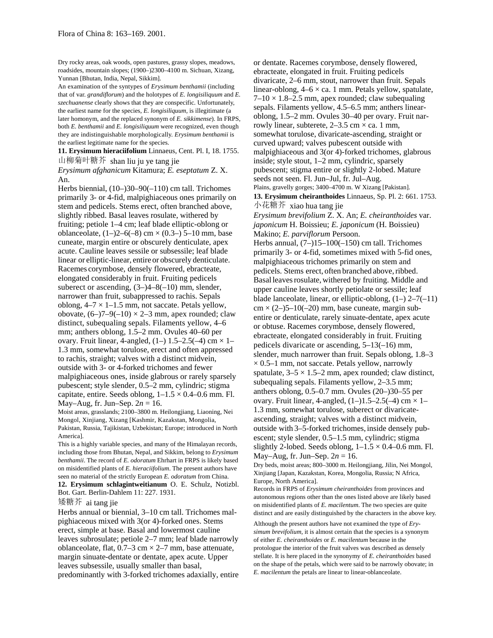Dry rocky areas, oak woods, open pastures, grassy slopes, meadows, roadsides, mountain slopes; (1900–)2300–4100 m. Sichuan, Xizang, Yunnan [Bhutan, India, Nepal, Sikkim].

An examination of the syntypes of *Erysimum benthamii* (including that of var. *grandiflorum*) and the holotypes of *E. longisiliquum* and *E. szechuanense* clearly shows that they are conspecific. Unfortunately, the earliest name for the species, *E. longisiliquum,* is illegitimate (a later homonym, and the replaced synonym of *E. sikkimense*). In FRPS, both *E. benthamii* and *E. longisiliquum* were recognized, even though they are indistinguishable morphologically. *Erysimum benthamii* is the earliest legitimate name for the species.

**11. Erysimum hieraciifolium** Linnaeus, Cent. Pl. I, 18. 1755. 山柳菊叶糖芥 shan liu ju ye tang jie

*Erysimum afghanicum* Kitamura; *E. eseptatum* Z. X. An.

Herbs biennial, (10–)30–90(–110) cm tall. Trichomes primarily 3- or 4-fid, malpighiaceous ones primarily on stem and pedicels. Stems erect, often branched above, slightly ribbed. Basal leaves rosulate, withered by fruiting; petiole 1–4 cm; leaf blade elliptic-oblong or oblanceolate,  $(1-2-6(-8)$  cm  $\times$   $(0.3-5)$  5-10 mm, base cuneate, margin entire or obscurely denticulate, apex acute. Cauline leaves sessile or subsessile; leaf blade linear or elliptic-linear, entire or obscurely denticulate. Racemes corymbose, densely flowered, ebracteate, elongated considerably in fruit. Fruiting pedicels suberect or ascending,  $(3-4-8(-10)$  mm, slender, narrower than fruit, subappressed to rachis. Sepals oblong,  $4-7 \times 1-1.5$  mm, not saccate. Petals yellow, obovate,  $(6-)7-9(-10) \times 2-3$  mm, apex rounded; claw distinct, subequaling sepals. Filaments yellow, 4–6 mm; anthers oblong, 1.5–2 mm. Ovules 40–60 per ovary. Fruit linear, 4-angled,  $(1-) 1.5-2.5(-4)$  cm  $\times 1-$ 1.3 mm, somewhat torulose, erect and often appressed to rachis, straight; valves with a distinct midvein, outside with 3- or 4-forked trichomes and fewer malpighiaceous ones, inside glabrous or rarely sparsely pubescent; style slender, 0.5–2 mm, cylindric; stigma capitate, entire. Seeds oblong,  $1-1.5 \times 0.4-0.6$  mm. Fl. May–Aug, fr. Jun–Sep.  $2n = 16$ .

Moist areas, grasslands; 2100–3800 m. Heilongjiang, Liaoning, Nei Mongol, Xinjiang, Xizang [Kashmir, Kazakstan, Mongolia, Pakistan, Russia, Tajikistan, Uzbekistan; Europe; introduced in North America].

This is a highly variable species, and many of the Himalayan records, including those from Bhutan, Nepal, and Sikkim, belong to *Erysimum benthamii*. The record of *E. odoratum* Ehrhart in FRPS is likely based on misidentified plants of *E. hieraciifolium*. The present authors have seen no material of the strictly European *E. odoratum* from China.

**12. Erysimum schlagintweitianum** O. E. Schulz, Notizbl. Bot. Gart. Berlin-Dahlem 11: 227. 1931.

## 矮糖芥 ai tang jie

Herbs annual or biennial, 3–10 cm tall. Trichomes malpighiaceous mixed with 3(or 4)-forked ones. Stems erect, simple at base. Basal and lowermost cauline leaves subrosulate; petiole 2–7 mm; leaf blade narrowly oblanceolate, flat,  $0.7-3$  cm  $\times$  2-7 mm, base attenuate, margin sinuate-dentate or dentate, apex acute. Upper leaves subsessile, usually smaller than basal, predominantly with 3-forked trichomes adaxially, entire or dentate. Racemes corymbose, densely flowered, ebracteate, elongated in fruit. Fruiting pedicels divaricate, 2–6 mm, stout, narrower than fruit. Sepals linear-oblong,  $4-6 \times$  ca. 1 mm. Petals yellow, spatulate,  $7-10 \times 1.8-2.5$  mm, apex rounded; claw subequaling sepals. Filaments yellow, 4.5–6.5 mm; anthers linearoblong, 1.5–2 mm. Ovules 30–40 per ovary. Fruit narrowly linear, subterete,  $2-3.5$  cm  $\times$  ca. 1 mm, somewhat torulose, divaricate-ascending, straight or curved upward; valves pubescent outside with malpighiaceous and 3(or 4)-forked trichomes, glabrous inside; style stout, 1–2 mm, cylindric, sparsely pubescent; stigma entire or slightly 2-lobed. Mature seeds not seen. Fl. Jun–Jul, fr. Jul–Aug. Plains, gravelly gorges; 3400–4700 m. W Xizang [Pakistan]. **13. Erysimum cheiranthoides** Linnaeus, Sp. Pl. 2: 661. 1753. 小花糖芥 xiao hua tang jie *Erysimum brevifolium* Z. X. An; *E. cheiranthoides* var. *japonicum* H. Boissieu; *E. japonicum* (H. Boissieu) Makino; *E. parviflorum* Persoon. Herbs annual,  $(7-)15-100(-150)$  cm tall. Trichomes primarily 3- or 4-fid, sometimes mixed with 5-fid ones, malpighiaceous trichomes primarily on stem and pedicels. Stems erect, often branched above, ribbed. Basal leaves rosulate, withered by fruiting. Middle and upper cauline leaves shortly petiolate or sessile; leaf blade lanceolate, linear, or elliptic-oblong,  $(1-2-7(-11))$  $cm \times (2-)5-10(-20)$  mm, base cuneate, margin subentire or denticulate, rarely sinuate-dentate, apex acute or obtuse. Racemes corymbose, densely flowered, ebracteate, elongated considerably in fruit. Fruiting pedicels divaricate or ascending, 5–13(–16) mm, slender, much narrower than fruit. Sepals oblong, 1.8–3  $\times$  0.5–1 mm, not saccate. Petals yellow, narrowly spatulate,  $3-5 \times 1.5-2$  mm, apex rounded; claw distinct, subequaling sepals. Filaments yellow, 2–3.5 mm; anthers oblong, 0.5–0.7 mm. Ovules (20–)30–55 per ovary. Fruit linear, 4-angled,  $(1–)1.5–2.5(-4)$  cm  $\times$  1– 1.3 mm, somewhat torulose, suberect or divaricateascending, straight; valves with a distinct midvein, outside with 3–5-forked trichomes, inside densely pubescent; style slender, 0.5–1.5 mm, cylindric; stigma slightly 2-lobed. Seeds oblong,  $1-1.5 \times 0.4-0.6$  mm. Fl. May–Aug, fr. Jun–Sep. 2*n* = 16.

Dry beds, moist areas; 800–3000 m. Heilongjiang, Jilin, Nei Mongol, Xinjiang [Japan, Kazakstan, Korea, Mongolia, Russia; N Africa, Europe, North America].

Records in FRPS of *Erysimum cheiranthoides* from provinces and autonomous regions other than the ones listed above are likely based on misidentified plants of *E. macilentum*. The two species are quite distinct and are easily distinguished by the characters in the above key. Although the present authors have not examined the type of *Erysimum brevifolium,* it is almost certain that the species is a synonym of either *E. cheiranthoides* or *E. macilentum* because in the protologue the interior of the fruit valves was described as densely stellate. It is here placed in the synonymy of *E. cheiranthoides* based on the shape of the petals, which were said to be narrowly obovate; in *E. macilentum* the petals are linear to linear-oblanceolate.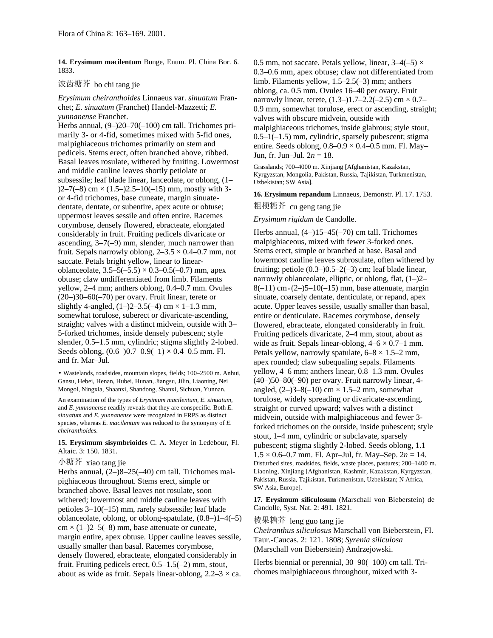**14. Erysimum macilentum** Bunge, Enum. Pl. China Bor. 6. 1833.

### 波齿糖芥 bo chi tang jie

*Erysimum cheiranthoides* Linnaeus var. *sinuatum* Franchet; *E. sinuatum* (Franchet) Handel-Mazzetti; *E. yunnanense* Franchet.

Herbs annual, (9–)20–70(–100) cm tall. Trichomes primarily 3- or 4-fid, sometimes mixed with 5-fid ones, malpighiaceous trichomes primarily on stem and pedicels. Stems erect, often branched above, ribbed. Basal leaves rosulate, withered by fruiting. Lowermost and middle cauline leaves shortly petiolate or subsessile; leaf blade linear, lanceolate, or oblong, (1–  $(2-7(-8)$  cm  $\times$   $(1.5-2.5-10(-15)$  mm, mostly with 3or 4-fid trichomes, base cuneate, margin sinuatedentate, dentate, or subentire, apex acute or obtuse; uppermost leaves sessile and often entire. Racemes corymbose, densely flowered, ebracteate, elongated considerably in fruit. Fruiting pedicels divaricate or ascending, 3–7(–9) mm, slender, much narrower than fruit. Sepals narrowly oblong,  $2-3.5 \times 0.4-0.7$  mm, not saccate. Petals bright yellow, linear to linearoblanceolate,  $3.5-5(-5.5) \times 0.3-0.5(-0.7)$  mm, apex obtuse; claw undifferentiated from limb. Filaments yellow, 2–4 mm; anthers oblong, 0.4–0.7 mm. Ovules (20–)30–60(–70) per ovary. Fruit linear, terete or slightly 4-angled,  $(1–)2–3.5(-4)$  cm  $\times$  1–1.3 mm, somewhat torulose, suberect or divaricate-ascending, straight; valves with a distinct midvein, outside with 3– 5-forked trichomes, inside densely pubescent; style slender, 0.5–1.5 mm, cylindric; stigma slightly 2-lobed. Seeds oblong,  $(0.6-)0.7-0.9(-1) \times 0.4-0.5$  mm. Fl. and fr. Mar–Jul.

• Wastelands, roadsides, mountain slopes, fields; 100–2500 m. Anhui, Gansu, Hebei, Henan, Hubei, Hunan, Jiangsu, Jilin, Liaoning, Nei Mongol, Ningxia, Shaanxi, Shandong, Shanxi, Sichuan, Yunnan.

An examination of the types of *Erysimum macilentum, E. sinuatum,* and *E. yunnanense* readily reveals that they are conspecific. Both *E. sinuatum* and *E. yunnanense* were recognized in FRPS as distinct species, whereas *E. macilentum* was reduced to the synonymy of *E. cheiranthoides*.

**15. Erysimum sisymbrioides** C. A. Meyer in Ledebour, Fl. Altaic. 3: 150. 1831.

## 小糖芥 xiao tang jie

Herbs annual, (2–)8–25(–40) cm tall. Trichomes malpighiaceous throughout. Stems erect, simple or branched above. Basal leaves not rosulate, soon withered; lowermost and middle cauline leaves with petioles 3–10(–15) mm, rarely subsessile; leaf blade oblanceolate, oblong, or oblong-spatulate, (0.8–)1–4(–5)  $cm \times (1-)2-5(-8)$  mm, base attenuate or cuneate, margin entire, apex obtuse. Upper cauline leaves sessile, usually smaller than basal. Racemes corymbose, densely flowered, ebracteate, elongated considerably in fruit. Fruiting pedicels erect,  $0.5-1.5(-2)$  mm, stout, about as wide as fruit. Sepals linear-oblong,  $2.2-3 \times$  ca.

0.5 mm, not saccate. Petals yellow, linear,  $3-4(-5) \times$ 0.3–0.6 mm, apex obtuse; claw not differentiated from limb. Filaments yellow, 1.5–2.5(–3) mm; anthers oblong, ca. 0.5 mm. Ovules 16–40 per ovary. Fruit narrowly linear, terete,  $(1.3-)1.7-2.2(-2.5)$  cm  $\times 0.7-$ 0.9 mm, somewhat torulose, erect or ascending, straight; valves with obscure midvein, outside with malpighiaceous trichomes, inside glabrous; style stout,  $0.5-1(-1.5)$  mm, cylindric, sparsely pubescent; stigma entire. Seeds oblong,  $0.8-0.9 \times 0.4-0.5$  mm. Fl. May-Jun, fr. Jun–Jul. 2*n* = 18.

Grasslands; 700–4000 m. Xinjiang [Afghanistan, Kazakstan, Kyrgyzstan, Mongolia, Pakistan, Russia, Tajikistan, Turkmenistan, Uzbekistan; SW Asia].

**16. Erysimum repandum** Linnaeus, Demonstr. Pl. 17. 1753.

粗梗糖芥 cu geng tang jie

### *Erysimum rigidum* de Candolle.

Herbs annual, (4–)15–45(–70) cm tall. Trichomes malpighiaceous, mixed with fewer 3-forked ones. Stems erect, simple or branched at base. Basal and lowermost cauline leaves subrosulate, often withered by fruiting; petiole  $(0.3-)0.5-2(-3)$  cm; leaf blade linear, narrowly oblanceolate, elliptic, or oblong, flat, (1–)2–  $8(-11)$  cm × (2–)5–10(–15) mm, base attenuate, margin sinuate, coarsely dentate, denticulate, or repand, apex acute. Upper leaves sessile, usually smaller than basal, entire or denticulate. Racemes corymbose, densely flowered, ebracteate, elongated considerably in fruit. Fruiting pedicels divaricate, 2–4 mm, stout, about as wide as fruit. Sepals linear-oblong,  $4-6 \times 0.7-1$  mm. Petals yellow, narrowly spatulate,  $6-8 \times 1.5-2$  mm, apex rounded; claw subequaling sepals. Filaments yellow, 4–6 mm; anthers linear, 0.8–1.3 mm. Ovules (40–)50–80(–90) per ovary. Fruit narrowly linear, 4 angled,  $(2-)3-8(-10)$  cm  $\times$  1.5–2 mm, somewhat torulose, widely spreading or divaricate-ascending, straight or curved upward; valves with a distinct midvein, outside with malpighiaceous and fewer 3 forked trichomes on the outside, inside pubescent; style stout, 1–4 mm, cylindric or subclavate, sparsely pubescent; stigma slightly 2-lobed. Seeds oblong, 1.1–  $1.5 \times 0.6$ –0.7 mm. Fl. Apr–Jul, fr. May–Sep.  $2n = 14$ . Disturbed sites, roadsides, fields, waste places, pastures; 200–1400 m. Liaoning, Xinjiang [Afghanistan, Kashmir, Kazakstan, Kyrgyzstan, Pakistan, Russia, Tajikistan, Turkmenistan, Uzbekistan; N Africa, SW Asia, Europe].

**17. Erysimum siliculosum** (Marschall von Bieberstein) de Candolle, Syst. Nat. 2: 491. 1821.

## 棱果糖芥 leng guo tang jie

*Cheiranthus siliculosus* Marschall von Bieberstein, Fl. Taur.-Caucas. 2: 121. 1808; *Syrenia siliculosa* (Marschall von Bieberstein) Andrzejowski.

Herbs biennial or perennial, 30–90(–100) cm tall. Trichomes malpighiaceous throughout, mixed with 3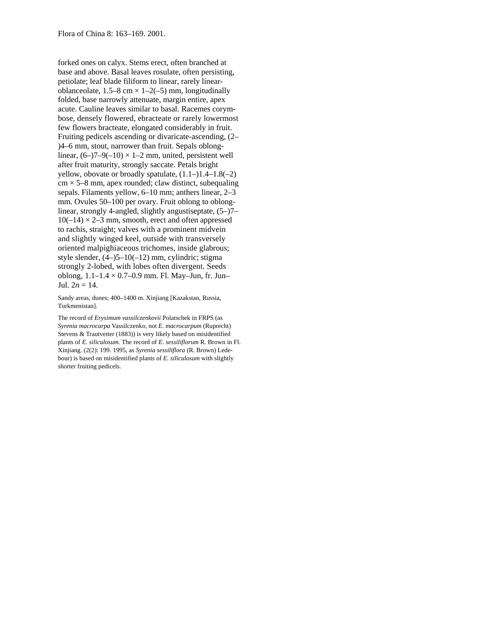forked ones on calyx. Stems erect, often branched at base and above. Basal leaves rosulate, often persisting, petiolate; leaf blade filiform to linear, rarely linearoblanceolate,  $1.5-8$  cm  $\times$   $1-2(-5)$  mm, longitudinally folded, base narrowly attenuate, margin entire, apex acute. Cauline leaves similar to basal. Racemes corymbose, densely flowered, ebracteate or rarely lowermost few flowers bracteate, elongated considerably in fruit. Fruiting pedicels ascending or divaricate-ascending, (2– )4–6 mm, stout, narrower than fruit. Sepals oblonglinear,  $(6-7-9(-10) \times 1-2$  mm, united, persistent well after fruit maturity, strongly saccate. Petals bright yellow, obovate or broadly spatulate,  $(1.1-)1.4-1.8(-2)$  $cm \times 5-8$  mm, apex rounded; claw distinct, subequaling sepals. Filaments yellow, 6–10 mm; anthers linear, 2–3 mm. Ovules 50–100 per ovary. Fruit oblong to oblonglinear, strongly 4-angled, slightly angustiseptate, (5–)7–  $10(-14) \times 2-3$  mm, smooth, erect and often appressed to rachis, straight; valves with a prominent midvein and slightly winged keel, outside with transversely oriented malpighiaceous trichomes, inside glabrous; style slender, (4–)5–10(–12) mm, cylindric; stigma strongly 2-lobed, with lobes often divergent. Seeds oblong, 1.1–1.4 × 0.7–0.9 mm. Fl. May–Jun, fr. Jun– Jul.  $2n = 14$ .

Sandy areas, dunes; 400–1400 m. Xinjiang [Kazakstan, Russia, Turkmenistan].

The record of *Erysimum vassilczenkovii* Polatschek in FRPS (as *Syrenia macrocarpa* Vassilczenko, not *E. macrocarpum* (Ruprecht) Stevens & Trautvetter (1883)) is very likely based on misidentified plants of *E. siliculosum*. The record of *E. sessiliflorum* R. Brown in Fl. Xinjiang. (2(2): 199. 1995, as *Syrenia sessiliflora* (R. Brown) Ledebour) is based on misidentified plants of *E. siliculosum* with slightly shorter fruiting pedicels.